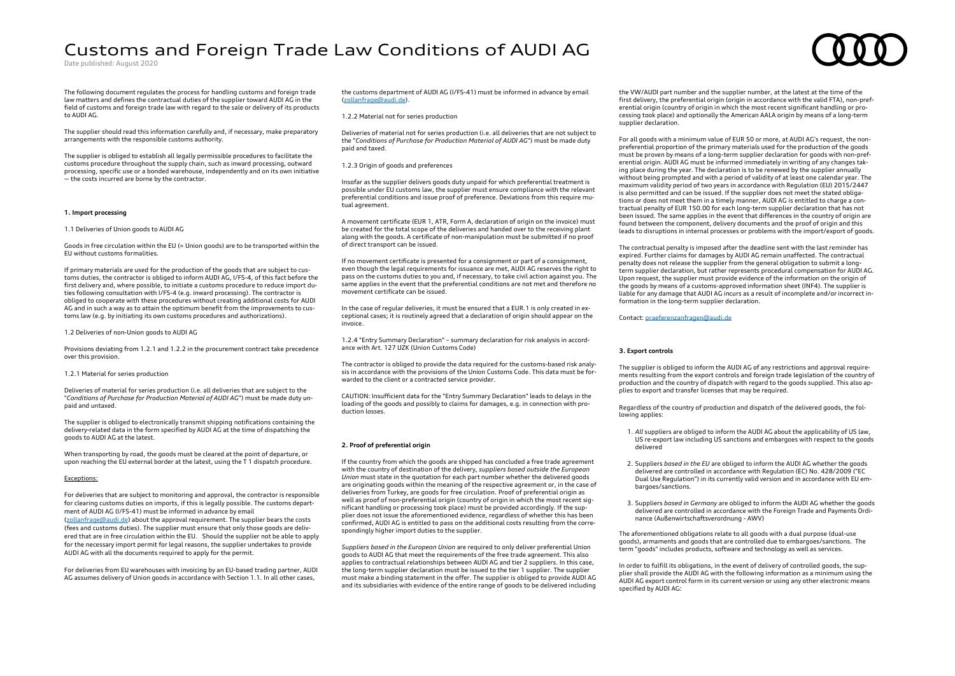# Customs and Foreign Trade Law Conditions of AUDI AG

Date published: August 2020

The following document regulates the process for handling customs and foreign trade law matters and defines the contractual duties of the supplier toward AUDI AG in the field of customs and foreign trade law with regard to the sale or delivery of its products to AUDI AG.

The supplier should read this information carefully and, if necessary, make preparatory arrangements with the responsible customs authority.

The supplier is obliged to establish all legally permissible procedures to facilitate the customs procedure throughout the supply chain, such as inward processing, outward processing, specific use or a bonded warehouse, independently and on its own initiative — the costs incurred are borne by the contractor.

### **1. Import processing**

1.1 Deliveries of Union goods to AUDI AG

Goods in free circulation within the EU (= Union goods) are to be transported within the EU without customs formalities.

If primary materials are used for the production of the goods that are subject to customs duties, the contractor is obliged to inform AUDI AG, I/FS-4, of this fact before the first delivery and, where possible, to initiate a customs procedure to reduce import duties following consultation with I/FS-4 (e.g. inward processing). The contractor is obliged to cooperate with these procedures without creating additional costs for AUDI AG and in such a way as to attain the optimum benefit from the improvements to customs law (e.g. by initiating its own customs procedures and authorizations).

## 1.2 Deliveries of non-Union goods to AUDI AG

Provisions deviating from 1.2.1 and 1.2.2 in the procurement contract take precedence over this provision.

1.2.1 Material for series production

Deliveries of material for series production (i.e. all deliveries that are subject to the "*Conditions of Purchase for Production Material of AUDI AG*") must be made duty unpaid and untaxed.

The supplier is obliged to electronically transmit shipping notifications containing the delivery-related data in the form specified by AUDI AG at the time of dispatching the goods to AUDI AG at the latest.

When transporting by road, the goods must be cleared at the point of departure, or upon reaching the EU external border at the latest, using the T 1 dispatch procedure.

## Exceptions:

For deliveries that are subject to monitoring and approval, the contractor is responsible for clearing customs duties on imports, if this is legally possible. The customs department of AUDI AG (I/FS-41) must be informed in advance by email [\(zollanfrage@audi.de\)](mailto:zollanfrage@audi.de) about the approval requirement. The supplier bears the costs (fees and customs duties). The supplier must ensure that only those goods are delivered that are in free circulation within the EU. Should the supplier not be able to apply for the necessary import permit for legal reasons, the supplier undertakes to provide AUDI AG with all the documents required to apply for the permit.

For deliveries from EU warehouses with invoicing by an EU-based trading partner, AUDI AG assumes delivery of Union goods in accordance with Section 1.1. In all other cases,

the customs department of AUDI AG (I/FS-41) must be informed in advance by email [\(zollanfrage@audi.de\).](mailto:zollanfrage@audi.de)

1.2.2 Material not for series production

Deliveries of material not for series production (i.e. all deliveries that are not subject to the "*Conditions of Purchase for Production Material of AUDI AG*") must be made duty paid and taxed.

1.2.3 Origin of goods and preferences

Insofar as the supplier delivers goods duty unpaid for which preferential treatment is possible under EU customs law, the supplier must ensure compliance with the relevant preferential conditions and issue proof of preference. Deviations from this require mutual agreement.

A movement certificate (EUR 1, ATR, Form A, declaration of origin on the invoice) must be created for the total scope of the deliveries and handed over to the receiving plant along with the goods. A certificate of non-manipulation must be submitted if no proof of direct transport can be issued.

If no movement certificate is presented for a consignment or part of a consignment, even though the legal requirements for issuance are met, AUDI AG reserves the right to pass on the customs duties to you and, if necessary, to take civil action against you. The same applies in the event that the preferential conditions are not met and therefore no movement certificate can be issued.

In the case of regular deliveries, it must be ensured that a EUR.1 is only created in exceptional cases; it is routinely agreed that a declaration of origin should appear on the invoice.

1.2.4 "Entry Summary Declaration" – summary declaration for risk analysis in accordance with Art. 127 UZK (Union Customs Code)

The contractor is obliged to provide the data required for the customs-based risk analysis in accordance with the provisions of the Union Customs Code. This data must be forwarded to the client or a contracted service provider.

CAUTION: Insufficient data for the "Entry Summary Declaration" leads to delays in the loading of the goods and possibly to claims for damages, e.g. in connection with production losses.

### **2. Proof of preferential origin**

If the country from which the goods are shipped has concluded a free trade agreement with the country of destination of the delivery, *suppliers based outside the European Union* must state in the quotation for each part number whether the delivered goods are originating goods within the meaning of the respective agreement or, in the case of deliveries from Turkey, are goods for free circulation. Proof of preferential origin as well as proof of non-preferential origin (country of origin in which the most recent significant handling or processing took place) must be provided accordingly. If the supplier does not issue the aforementioned evidence, regardless of whether this has been confirmed, AUDI AG is entitled to pass on the additional costs resulting from the correspondingly higher import duties to the supplier.

*Suppliers based in the European Union* are required to only deliver preferential Union goods to AUDI AG that meet the requirements of the free trade agreement. This also applies to contractual relationships between AUDI AG and tier 2 suppliers. In this case, the long-term supplier declaration must be issued to the tier 1 supplier. The supplier must make a binding statement in the offer. The supplier is obliged to provide AUDI AG and its subsidiaries with evidence of the entire range of goods to be delivered including

the VW/AUDI part number and the supplier number, at the latest at the time of the first delivery, the preferential origin (origin in accordance with the valid FTA), non-preferential origin (country of origin in which the most recent significant handling or processing took place) and optionally the American AALA origin by means of a long-term supplier declaration.

For all goods with a minimum value of EUR 50 or more, at AUDI AG's request, the nonpreferential proportion of the primary materials used for the production of the goods must be proven by means of a long-term supplier declaration for goods with non-preferential origin. AUDI AG must be informed immediately in writing of any changes taking place during the year. The declaration is to be renewed by the supplier annually without being prompted and with a period of validity of at least one calendar year. The maximum validity period of two years in accordance with Regulation (EU) 2015/2447 is also permitted and can be issued. If the supplier does not meet the stated obligations or does not meet them in a timely manner, AUDI AG is entitled to charge a contractual penalty of EUR 150.00 for each long-term supplier declaration that has not been issued. The same applies in the event that differences in the country of origin are found between the component, delivery documents and the proof of origin and this leads to disruptions in internal processes or problems with the import/export of goods.

The contractual penalty is imposed after the deadline sent with the last reminder has expired. Further claims for damages by AUDI AG remain unaffected. The contractual penalty does not release the supplier from the general obligation to submit a longterm supplier declaration, but rather represents procedural compensation for AUDI AG. Upon request, the supplier must provide evidence of the information on the origin of the goods by means of a customs-approved information sheet (INF4). The supplier is liable for any damage that AUDI AG incurs as a result of incomplete and/or incorrect information in the long-term supplier declaration.

Contact[: praeferenzanfragen@audi.de](mailto:praeferenzanfragen@audi.de)

# **3. Export controls**

The supplier is obliged to inform the AUDI AG of any restrictions and approval requirements resulting from the export controls and foreign trade legislation of the country of production and the country of dispatch with regard to the goods supplied. This also applies to export and transfer licenses that may be required.

Regardless of the country of production and dispatch of the delivered goods, the following applies:

- 1. *All* suppliers are obliged to inform the AUDI AG about the applicability of US law, US re-export law including US sanctions and embargoes with respect to the goods delivered
- 2. Suppliers *based in the EU* are obliged to inform the AUDI AG whether the goods delivered are controlled in accordance with Regulation (EC) No. 428/2009 ("EC Dual Use Regulation") in its currently valid version and in accordance with EU embargoes/sanctions.
- 3. Suppliers *based in Germany* are obliged to inform the AUDI AG whether the goods delivered are controlled in accordance with the Foreign Trade and Payments Ordinance (Außenwirtschaftsverordnung - AWV)

The aforementioned obligations relate to all goods with a dual purpose (dual-use goods), armaments and goods that are controlled due to embargoes/sanctions. The term "goods" includes products, software and technology as well as services.

In order to fulfill its obligations, in the event of delivery of controlled goods, the supplier shall provide the AUDI AG with the following information as a minimum using the AUDI AG export control form in its current version or using any other electronic means specified by AUDI AG: